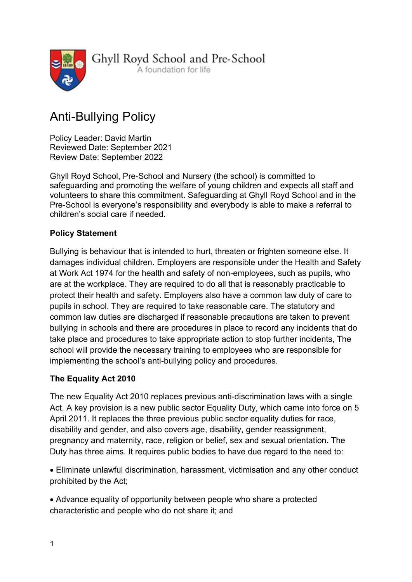

Ghyll Royd School and Pre-School

A foundation for life

# Anti-Bullying Policy

Policy Leader: David Martin Reviewed Date: September 2021 Review Date: September 2022

Ghyll Royd School, Pre-School and Nursery (the school) is committed to safeguarding and promoting the welfare of young children and expects all staff and volunteers to share this commitment. Safeguarding at Ghyll Royd School and in the Pre-School is everyone's responsibility and everybody is able to make a referral to children's social care if needed.

# Policy Statement

Bullying is behaviour that is intended to hurt, threaten or frighten someone else. It damages individual children. Employers are responsible under the Health and Safety at Work Act 1974 for the health and safety of non-employees, such as pupils, who are at the workplace. They are required to do all that is reasonably practicable to protect their health and safety. Employers also have a common law duty of care to pupils in school. They are required to take reasonable care. The statutory and common law duties are discharged if reasonable precautions are taken to prevent bullying in schools and there are procedures in place to record any incidents that do take place and procedures to take appropriate action to stop further incidents, The school will provide the necessary training to employees who are responsible for implementing the school's anti-bullying policy and procedures.

#### The Equality Act 2010

The new Equality Act 2010 replaces previous anti-discrimination laws with a single Act. A key provision is a new public sector Equality Duty, which came into force on 5 April 2011. It replaces the three previous public sector equality duties for race, disability and gender, and also covers age, disability, gender reassignment, pregnancy and maternity, race, religion or belief, sex and sexual orientation. The Duty has three aims. It requires public bodies to have due regard to the need to:

 Eliminate unlawful discrimination, harassment, victimisation and any other conduct prohibited by the Act;

 Advance equality of opportunity between people who share a protected characteristic and people who do not share it; and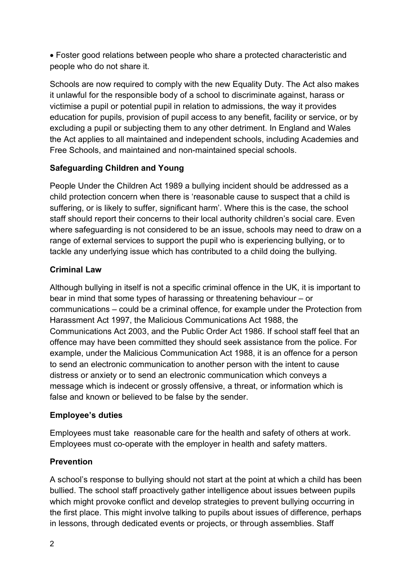Foster good relations between people who share a protected characteristic and people who do not share it.

Schools are now required to comply with the new Equality Duty. The Act also makes it unlawful for the responsible body of a school to discriminate against, harass or victimise a pupil or potential pupil in relation to admissions, the way it provides education for pupils, provision of pupil access to any benefit, facility or service, or by excluding a pupil or subjecting them to any other detriment. In England and Wales the Act applies to all maintained and independent schools, including Academies and Free Schools, and maintained and non-maintained special schools.

# Safeguarding Children and Young

People Under the Children Act 1989 a bullying incident should be addressed as a child protection concern when there is 'reasonable cause to suspect that a child is suffering, or is likely to suffer, significant harm'. Where this is the case, the school staff should report their concerns to their local authority children's social care. Even where safeguarding is not considered to be an issue, schools may need to draw on a range of external services to support the pupil who is experiencing bullying, or to tackle any underlying issue which has contributed to a child doing the bullying.

## Criminal Law

Although bullying in itself is not a specific criminal offence in the UK, it is important to bear in mind that some types of harassing or threatening behaviour – or communications – could be a criminal offence, for example under the Protection from Harassment Act 1997, the Malicious Communications Act 1988, the Communications Act 2003, and the Public Order Act 1986. If school staff feel that an offence may have been committed they should seek assistance from the police. For example, under the Malicious Communication Act 1988, it is an offence for a person to send an electronic communication to another person with the intent to cause distress or anxiety or to send an electronic communication which conveys a message which is indecent or grossly offensive, a threat, or information which is false and known or believed to be false by the sender.

#### Employee's duties

Employees must take reasonable care for the health and safety of others at work. Employees must co-operate with the employer in health and safety matters.

# Prevention

A school's response to bullying should not start at the point at which a child has been bullied. The school staff proactively gather intelligence about issues between pupils which might provoke conflict and develop strategies to prevent bullying occurring in the first place. This might involve talking to pupils about issues of difference, perhaps in lessons, through dedicated events or projects, or through assemblies. Staff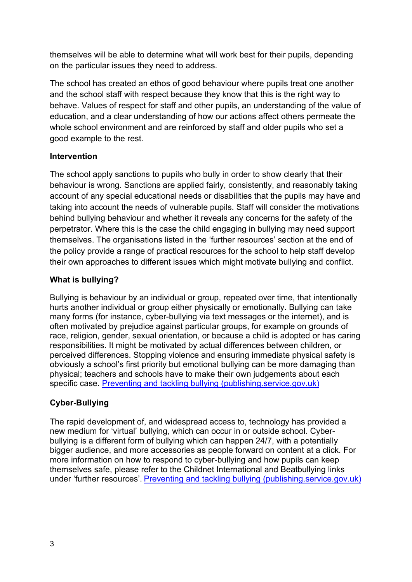themselves will be able to determine what will work best for their pupils, depending on the particular issues they need to address.

The school has created an ethos of good behaviour where pupils treat one another and the school staff with respect because they know that this is the right way to behave. Values of respect for staff and other pupils, an understanding of the value of education, and a clear understanding of how our actions affect others permeate the whole school environment and are reinforced by staff and older pupils who set a good example to the rest.

## **Intervention**

The school apply sanctions to pupils who bully in order to show clearly that their behaviour is wrong. Sanctions are applied fairly, consistently, and reasonably taking account of any special educational needs or disabilities that the pupils may have and taking into account the needs of vulnerable pupils. Staff will consider the motivations behind bullying behaviour and whether it reveals any concerns for the safety of the perpetrator. Where this is the case the child engaging in bullying may need support themselves. The organisations listed in the 'further resources' section at the end of the policy provide a range of practical resources for the school to help staff develop their own approaches to different issues which might motivate bullying and conflict.

# What is bullying?

Bullying is behaviour by an individual or group, repeated over time, that intentionally hurts another individual or group either physically or emotionally. Bullying can take many forms (for instance, cyber-bullying via text messages or the internet), and is often motivated by prejudice against particular groups, for example on grounds of race, religion, gender, sexual orientation, or because a child is adopted or has caring responsibilities. It might be motivated by actual differences between children, or perceived differences. Stopping violence and ensuring immediate physical safety is obviously a school's first priority but emotional bullying can be more damaging than physical; teachers and schools have to make their own judgements about each specific case. Preventing and tackling bullying (publishing.service.gov.uk)

# Cyber-Bullying

The rapid development of, and widespread access to, technology has provided a new medium for 'virtual' bullying, which can occur in or outside school. Cyberbullying is a different form of bullying which can happen 24/7, with a potentially bigger audience, and more accessories as people forward on content at a click. For more information on how to respond to cyber-bullying and how pupils can keep themselves safe, please refer to the Childnet International and Beatbullying links under 'further resources'. Preventing and tackling bullying (publishing.service.gov.uk)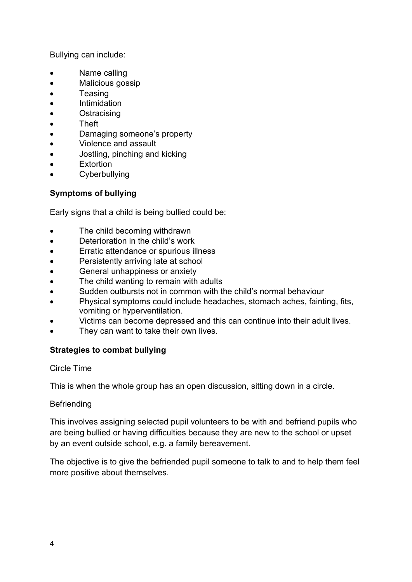Bullying can include:

- Name calling
- Malicious gossip
- Teasing
- Intimidation
- **•** Ostracising
- Theft
- Damaging someone's property
- Violence and assault
- Jostling, pinching and kicking
- **Extortion**
- **•** Cyberbullying

#### Symptoms of bullying

Early signs that a child is being bullied could be:

- The child becoming withdrawn
- Deterioration in the child's work
- Erratic attendance or spurious illness
- Persistently arriving late at school
- General unhappiness or anxiety
- The child wanting to remain with adults
- Sudden outbursts not in common with the child's normal behaviour
- Physical symptoms could include headaches, stomach aches, fainting, fits, vomiting or hyperventilation.
- Victims can become depressed and this can continue into their adult lives.
- They can want to take their own lives.

#### Strategies to combat bullying

#### Circle Time

This is when the whole group has an open discussion, sitting down in a circle.

#### Befriending

This involves assigning selected pupil volunteers to be with and befriend pupils who are being bullied or having difficulties because they are new to the school or upset by an event outside school, e.g. a family bereavement.

The objective is to give the befriended pupil someone to talk to and to help them feel more positive about themselves.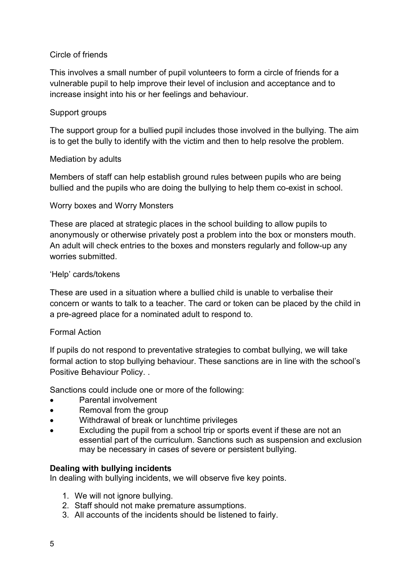#### Circle of friends

This involves a small number of pupil volunteers to form a circle of friends for a vulnerable pupil to help improve their level of inclusion and acceptance and to increase insight into his or her feelings and behaviour.

#### Support groups

The support group for a bullied pupil includes those involved in the bullying. The aim is to get the bully to identify with the victim and then to help resolve the problem.

#### Mediation by adults

Members of staff can help establish ground rules between pupils who are being bullied and the pupils who are doing the bullying to help them co-exist in school.

#### Worry boxes and Worry Monsters

These are placed at strategic places in the school building to allow pupils to anonymously or otherwise privately post a problem into the box or monsters mouth. An adult will check entries to the boxes and monsters regularly and follow-up any worries submitted.

#### 'Help' cards/tokens

These are used in a situation where a bullied child is unable to verbalise their concern or wants to talk to a teacher. The card or token can be placed by the child in a pre-agreed place for a nominated adult to respond to.

#### Formal Action

If pupils do not respond to preventative strategies to combat bullying, we will take formal action to stop bullying behaviour. These sanctions are in line with the school's Positive Behaviour Policy. .

Sanctions could include one or more of the following:

- Parental involvement
- Removal from the group
- Withdrawal of break or lunchtime privileges
- Excluding the pupil from a school trip or sports event if these are not an essential part of the curriculum. Sanctions such as suspension and exclusion may be necessary in cases of severe or persistent bullying.

#### Dealing with bullying incidents

In dealing with bullying incidents, we will observe five key points.

- 1. We will not ignore bullying.
- 2. Staff should not make premature assumptions.
- 3. All accounts of the incidents should be listened to fairly.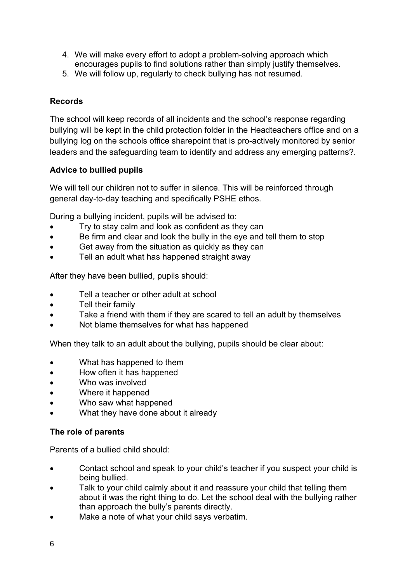- 4. We will make every effort to adopt a problem-solving approach which encourages pupils to find solutions rather than simply justify themselves.
- 5. We will follow up, regularly to check bullying has not resumed.

# Records

The school will keep records of all incidents and the school's response regarding bullying will be kept in the child protection folder in the Headteachers office and on a bullying log on the schools office sharepoint that is pro-actively monitored by senior leaders and the safeguarding team to identify and address any emerging patterns?.

# Advice to bullied pupils

We will tell our children not to suffer in silence. This will be reinforced through general day-to-day teaching and specifically PSHE ethos.

During a bullying incident, pupils will be advised to:

- Try to stay calm and look as confident as they can
- Be firm and clear and look the bully in the eye and tell them to stop
- Get away from the situation as quickly as they can
- Tell an adult what has happened straight away

After they have been bullied, pupils should:

- Tell a teacher or other adult at school
- Tell their family
- Take a friend with them if they are scared to tell an adult by themselves
- Not blame themselves for what has happened

When they talk to an adult about the bullying, pupils should be clear about:

- What has happened to them
- How often it has happened
- Who was involved
- Where it happened
- Who saw what happened
- What they have done about it already

#### The role of parents

Parents of a bullied child should:

- Contact school and speak to your child's teacher if you suspect your child is being bullied.
- Talk to your child calmly about it and reassure your child that telling them about it was the right thing to do. Let the school deal with the bullying rather than approach the bully's parents directly.
- Make a note of what your child says verbatim.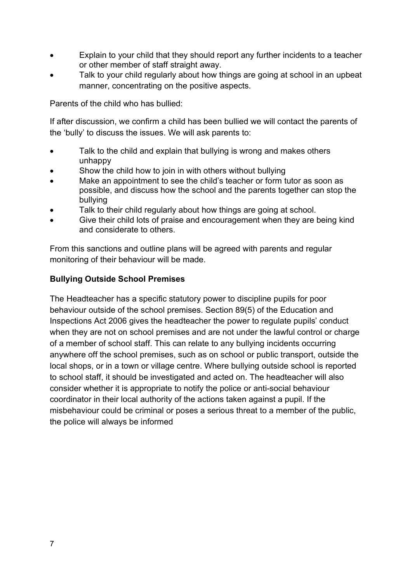- Explain to your child that they should report any further incidents to a teacher or other member of staff straight away.
- Talk to your child regularly about how things are going at school in an upbeat manner, concentrating on the positive aspects.

Parents of the child who has bullied:

If after discussion, we confirm a child has been bullied we will contact the parents of the 'bully' to discuss the issues. We will ask parents to:

- Talk to the child and explain that bullying is wrong and makes others unhappy
- Show the child how to join in with others without bullying
- Make an appointment to see the child's teacher or form tutor as soon as possible, and discuss how the school and the parents together can stop the bullying
- Talk to their child regularly about how things are going at school.
- Give their child lots of praise and encouragement when they are being kind and considerate to others.

From this sanctions and outline plans will be agreed with parents and regular monitoring of their behaviour will be made.

#### Bullying Outside School Premises

The Headteacher has a specific statutory power to discipline pupils for poor behaviour outside of the school premises. Section 89(5) of the Education and Inspections Act 2006 gives the headteacher the power to regulate pupils' conduct when they are not on school premises and are not under the lawful control or charge of a member of school staff. This can relate to any bullying incidents occurring anywhere off the school premises, such as on school or public transport, outside the local shops, or in a town or village centre. Where bullying outside school is reported to school staff, it should be investigated and acted on. The headteacher will also consider whether it is appropriate to notify the police or anti-social behaviour coordinator in their local authority of the actions taken against a pupil. If the misbehaviour could be criminal or poses a serious threat to a member of the public, the police will always be informed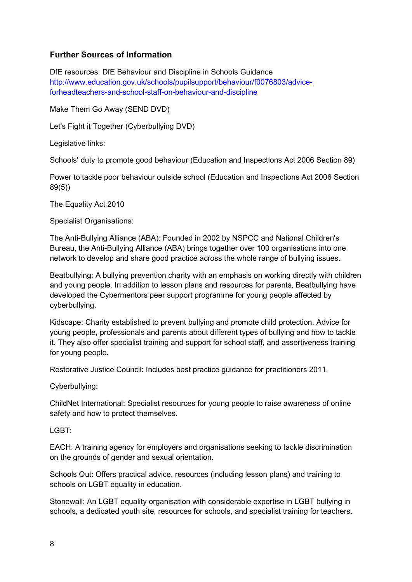#### Further Sources of Information

DfE resources: DfE Behaviour and Discipline in Schools Guidance http://www.education.gov.uk/schools/pupilsupport/behaviour/f0076803/adviceforheadteachers-and-school-staff-on-behaviour-and-discipline

Make Them Go Away (SEND DVD)

Let's Fight it Together (Cyberbullying DVD)

Legislative links:

Schools' duty to promote good behaviour (Education and Inspections Act 2006 Section 89)

Power to tackle poor behaviour outside school (Education and Inspections Act 2006 Section 89(5))

The Equality Act 2010

Specialist Organisations:

The Anti-Bullying Alliance (ABA): Founded in 2002 by NSPCC and National Children's Bureau, the Anti-Bullying Alliance (ABA) brings together over 100 organisations into one network to develop and share good practice across the whole range of bullying issues.

Beatbullying: A bullying prevention charity with an emphasis on working directly with children and young people. In addition to lesson plans and resources for parents, Beatbullying have developed the Cybermentors peer support programme for young people affected by cyberbullying.

Kidscape: Charity established to prevent bullying and promote child protection. Advice for young people, professionals and parents about different types of bullying and how to tackle it. They also offer specialist training and support for school staff, and assertiveness training for young people.

Restorative Justice Council: Includes best practice guidance for practitioners 2011.

Cyberbullying:

ChildNet International: Specialist resources for young people to raise awareness of online safety and how to protect themselves.

LGBT:

EACH: A training agency for employers and organisations seeking to tackle discrimination on the grounds of gender and sexual orientation.

Schools Out: Offers practical advice, resources (including lesson plans) and training to schools on LGBT equality in education.

Stonewall: An LGBT equality organisation with considerable expertise in LGBT bullying in schools, a dedicated youth site, resources for schools, and specialist training for teachers.